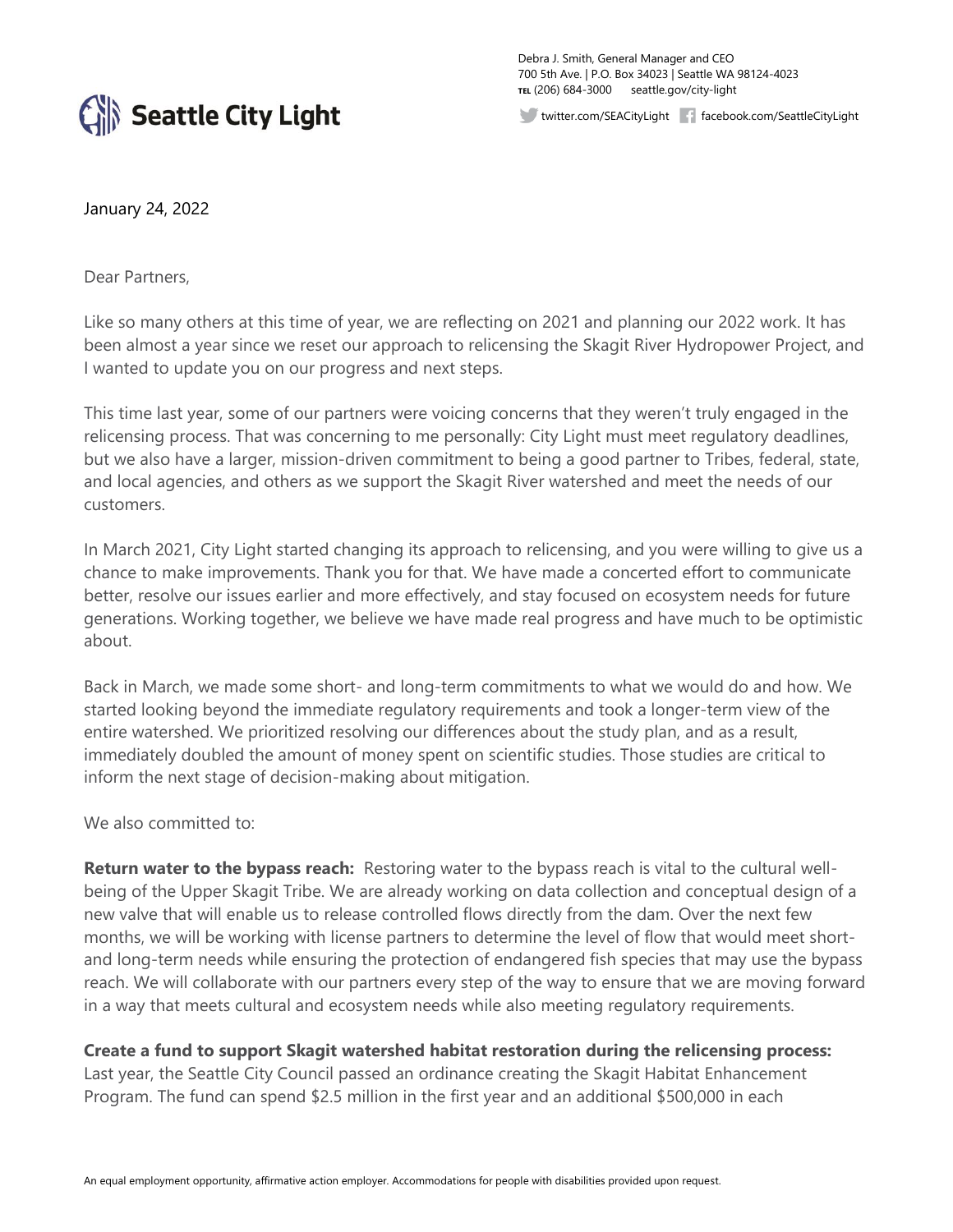

Debra J. Smith, General Manager and CEO 700 5th Ave. | P.O. Box 34023 | Seattle WA 98124-4023 **TEL** (206) 684-3000 seattle.gov/city-light

twitter.com/SEACityLight facebook.com/SeattleCityLight

## January 24, 2022

Dear Partners,

Like so many others at this time of year, we are reflecting on 2021 and planning our 2022 work. It has been almost a year since we reset our approach to relicensing the Skagit River Hydropower Project, and I wanted to update you on our progress and next steps.

This time last year, some of our partners were voicing concerns that they weren't truly engaged in the relicensing process. That was concerning to me personally: City Light must meet regulatory deadlines, but we also have a larger, mission-driven commitment to being a good partner to Tribes, federal, state, and local agencies, and others as we support the Skagit River watershed and meet the needs of our customers.

In March 2021, City Light started changing its approach to relicensing, and you were willing to give us a chance to make improvements. Thank you for that. We have made a concerted effort to communicate better, resolve our issues earlier and more effectively, and stay focused on ecosystem needs for future generations. Working together, we believe we have made real progress and have much to be optimistic about.

Back in March, we made some short- and long-term commitments to what we would do and how. We started looking beyond the immediate regulatory requirements and took a longer-term view of the entire watershed. We prioritized resolving our differences about the study plan, and as a result, immediately doubled the amount of money spent on scientific studies. Those studies are critical to inform the next stage of decision-making about mitigation.

We also committed to:

**Return water to the bypass reach:** Restoring water to the bypass reach is vital to the cultural wellbeing of the Upper Skagit Tribe. We are already working on data collection and conceptual design of a new valve that will enable us to release controlled flows directly from the dam. Over the next few months, we will be working with license partners to determine the level of flow that would meet shortand long-term needs while ensuring the protection of endangered fish species that may use the bypass reach. We will collaborate with our partners every step of the way to ensure that we are moving forward in a way that meets cultural and ecosystem needs while also meeting regulatory requirements.

**Create a fund to support Skagit watershed habitat restoration during the relicensing process:** 

Last year, the Seattle City Council passed an ordinance creating the Skagit Habitat Enhancement Program. The fund can spend \$2.5 million in the first year and an additional \$500,000 in each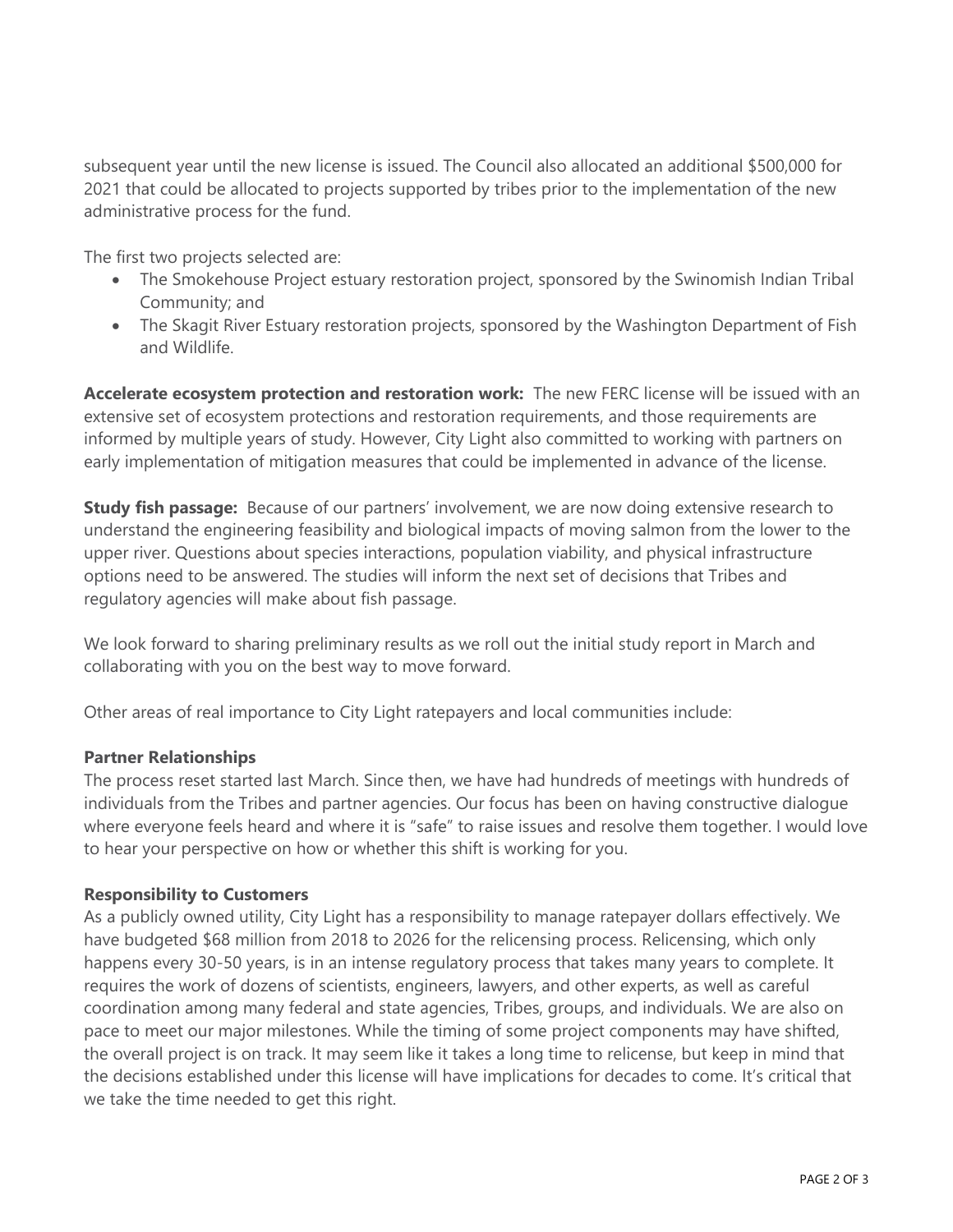subsequent year until the new license is issued. The Council also allocated an additional \$500,000 for 2021 that could be allocated to projects supported by tribes prior to the implementation of the new administrative process for the fund.

The first two projects selected are:

- The Smokehouse Project estuary restoration project, sponsored by the Swinomish Indian Tribal Community; and
- The Skagit River Estuary restoration projects, sponsored by the Washington Department of Fish and Wildlife.

**Accelerate ecosystem protection and restoration work:** The new FERC license will be issued with an extensive set of ecosystem protections and restoration requirements, and those requirements are informed by multiple years of study. However, City Light also committed to working with partners on early implementation of mitigation measures that could be implemented in advance of the license.

**Study fish passage:** Because of our partners' involvement, we are now doing extensive research to understand the engineering feasibility and biological impacts of moving salmon from the lower to the upper river. Questions about species interactions, population viability, and physical infrastructure options need to be answered. The studies will inform the next set of decisions that Tribes and regulatory agencies will make about fish passage.

We look forward to sharing preliminary results as we roll out the initial study report in March and collaborating with you on the best way to move forward.

Other areas of real importance to City Light ratepayers and local communities include:

## **Partner Relationships**

The process reset started last March. Since then, we have had hundreds of meetings with hundreds of individuals from the Tribes and partner agencies. Our focus has been on having constructive dialogue where everyone feels heard and where it is "safe" to raise issues and resolve them together. I would love to hear your perspective on how or whether this shift is working for you.

## **Responsibility to Customers**

As a publicly owned utility, City Light has a responsibility to manage ratepayer dollars effectively. We have budgeted \$68 million from 2018 to 2026 for the relicensing process. Relicensing, which only happens every 30-50 years, is in an intense regulatory process that takes many years to complete. It requires the work of dozens of scientists, engineers, lawyers, and other experts, as well as careful coordination among many federal and state agencies, Tribes, groups, and individuals. We are also on pace to meet our major milestones. While the timing of some project components may have shifted, the overall project is on track. It may seem like it takes a long time to relicense, but keep in mind that the decisions established under this license will have implications for decades to come. It's critical that we take the time needed to get this right.